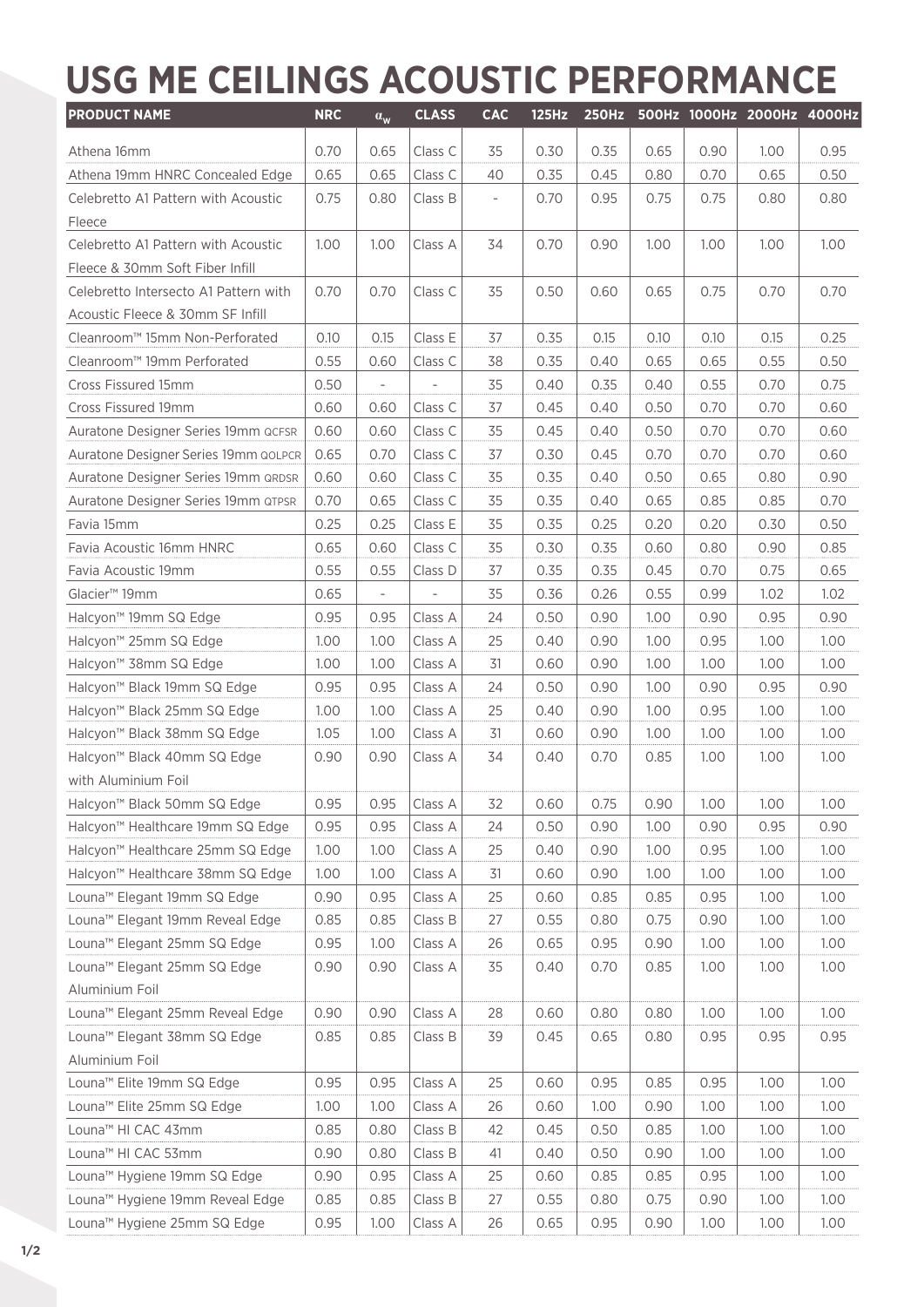## **USG ME CEILINGS ACOUSTIC PERFORMANCE**

| <b>PRODUCT NAME</b>                          | <b>NRC</b> | $\alpha_{\rm w}$         | <b>CLASS</b>   | <b>CAC</b>               | <b>125Hz</b> |      |      |      | 250Hz 500Hz 1000Hz 2000Hz 4000Hz |                   |
|----------------------------------------------|------------|--------------------------|----------------|--------------------------|--------------|------|------|------|----------------------------------|-------------------|
| Athena 16mm                                  | 0.70       | 0.65                     | Class C        | 35                       | 0.30         | 0.35 | 0.65 | 0.90 | 1.00                             | 0.95              |
| Athena 19mm HNRC Concealed Edge              | 0.65       | 0.65                     | Class C        | 40                       | 0.35         | 0.45 | 0.80 | 0.70 | 0.65                             | 0.50              |
| Celebretto A1 Pattern with Acoustic          | 0.75       | 0.80                     | Class B        | $\overline{\phantom{a}}$ | 0.70         | 0.95 | 0.75 | 0.75 | 0.80                             | 0.80              |
| Fleece                                       |            |                          |                |                          |              |      |      |      |                                  |                   |
| Celebretto A1 Pattern with Acoustic          | 1.00       | 1.00                     | Class A        | 34                       | 0.70         | 0.90 | 1.00 | 1.00 | 1.00                             | 1.00              |
| Fleece & 30mm Soft Fiber Infill              |            |                          |                |                          |              |      |      |      |                                  |                   |
| Celebretto Intersecto A1 Pattern with        | 0.70       | 0.70                     | Class C        | 35                       | 0.50         | 0.60 | 0.65 | 0.75 | 0.70                             | 0.70              |
| Acoustic Fleece & 30mm SF Infill             |            |                          |                |                          |              |      |      |      |                                  |                   |
| Cleanroom™ 15mm Non-Perforated               | 0.10       | 0.15                     | Class E        | 37                       | 0.35         | 0.15 | 0.10 | 0.10 | 0.15                             | 0.25              |
| Cleanroom™ 19mm Perforated                   | 0.55       | 0.60                     | Class C        | 38                       | 0.35         | 0.40 | 0.65 | 0.65 | 0.55                             | 0.50              |
| Cross Fissured 15mm                          | 0.50       | $\bar{a}$                | $\overline{a}$ | 35                       | 0.40         | 0.35 | 0.40 | 0.55 | 0.70                             | 0.75              |
| Cross Fissured 19mm                          | 0.60       | 0.60                     | Class C        | 37                       | 0.45         | 0.40 | 0.50 | 0.70 | 0.70                             | 0.60              |
| Auratone Designer Series 19mm QCFSR          | 0.60       | 0.60                     | Class C        | 35                       | 0.45         | 0.40 | 0.50 | 0.70 | 0.70                             | 0.60              |
| Auratone Designer Series 19mm QOLPCR         | 0.65       | 0.70                     | Class C        | 37                       | 0.30         | 0.45 | 0.70 | 0.70 | 0.70                             | 0.60              |
| Auratone Designer Series 19mm QRDSR          | 0.60       | 0.60                     | Class C        | 35                       | 0.35         | 0.40 | 0.50 | 0.65 | 0.80                             | 0.90              |
| Auratone Designer Series 19mm QTPSR          | 0.70       | 0.65                     | Class C        | 35                       | 0.35         | 0.40 | 0.65 | 0.85 | 0.85                             | 0.70              |
| Favia 15mm                                   | 0.25       | 0.25                     | Class E        | 35                       | 0.35         | 0.25 | 0.20 | 0.20 | 0.30                             | 0.50              |
| Favia Acoustic 16mm HNRC                     | 0.65       | 0.60                     | Class C        | 35                       | 0.30         | 0.35 | 0.60 | 0.80 | 0.90                             | 0.85              |
| Favia Acoustic 19mm                          | 0.55       | 0.55                     | Class D        | 37                       | 0.35         | 0.35 | 0.45 | 0.70 | 0.75                             | 0.65              |
| Glacier <sup>™</sup> 19mm                    | 0.65       | $\overline{\phantom{a}}$ |                | 35                       | 0.36         | 0.26 | 0.55 | 0.99 | 1.02                             | 1.02              |
| Halcyon <sup>™</sup> 19mm SQ Edge            | 0.95       | 0.95                     | Class A        | 24                       | 0.50         | 0.90 | 1.00 | 0.90 | 0.95                             | 0.90              |
| Halcyon™ 25mm SQ Edge                        | 1.00       | 1.00                     | Class A        | 25                       | 0.40         | 0.90 | 1.00 | 0.95 | 1.00                             | 1.00              |
| Halcyon™ 38mm SQ Edge                        | 1.00       | 1.00                     | Class A        | 31                       | 0.60         | 0.90 | 1.00 | 1.00 | 1.00                             | 1.00              |
| Halcyon <sup>™</sup> Black 19mm SQ Edge      | 0.95       | 0.95                     | Class A        | 24                       | 0.50         | 0.90 | 1.00 | 0.90 | 0.95                             | 0.90              |
| Halcyon <sup>™</sup> Black 25mm SQ Edge      | 1.00       | 1.00                     | Class A        | 25                       | 0.40         | 0.90 | 1.00 | 0.95 | 1.00                             | 1.00              |
| Halcyon <sup>™</sup> Black 38mm SQ Edge      | 1.05       | 1.00                     | Class A        | 31                       | 0.60         | 0.90 | 1.00 | 1.00 | 1.00                             | 1.00              |
| Halcyon <sup>™</sup> Black 40mm SQ Edge      | 0.90       | 0.90                     | Class A        | 34                       | 0.40         | 0.70 | 0.85 | 1.00 | 1.00                             | 1.00              |
| with Aluminium Foil                          |            |                          |                |                          |              |      |      |      |                                  |                   |
| Halcyon <sup>™</sup> Black 50mm SQ Edge      | 0.95       | 0.95                     | Class A        | 32                       | 0.60         | 0.75 | 0.90 | 1.00 | 1.00                             | 1.00              |
| Halcyon™ Healthcare 19mm SQ Edge             | 0.95       | 0.95                     | Class A        | 24                       | 0.50         | 0.90 | 1.00 | 0.90 | 0.95                             | 0.90              |
| Halcyon™ Healthcare 25mm SQ Edge             | 1.00       | 1.00                     | Class A        | 25                       | 0.40         | 0.90 | 1.00 | 0.95 | 1.00                             | 1.00              |
| Halcyon <sup>™</sup> Healthcare 38mm SQ Edge | 1.00       | 1.00                     | Class A        | 31                       | 0.60         | 0.90 | 1.00 | 1.00 | 1.00                             | 1.00              |
| Louna <sup>™</sup> Elegant 19mm SQ Edge      | 0.90       | 0.95                     | Class A        | 25                       | 0.60         | 0.85 | 0.85 | 0.95 | 1.00                             | 1,00              |
| Louna <sup>™</sup> Elegant 19mm Reveal Edge  | 0.85       | 0.85                     | Class B        | 27                       | 0.55         | 0.80 | 0.75 | 0.90 | 1.00                             | 1.00              |
| Louna <sup>™</sup> Elegant 25mm SQ Edge      | 0.95       | 1.00                     | Class A        | 26                       | 0.65         | 0.95 | 0.90 | 1.00 | 1.00                             | 1.00              |
| Louna <sup>™</sup> Elegant 25mm SQ Edge      | 0.90       | 0.90                     | Class A        | 35                       | 0.40         | 0.70 | 0.85 | 1.00 | 1.00                             | 1.00              |
| Aluminium Foil                               |            |                          |                |                          |              |      |      |      |                                  |                   |
| Louna <sup>™</sup> Elegant 25mm Reveal Edge  | 0.90       | 0.90                     | Class A        | 28                       | 0.60         | 0.80 | 0.80 | 1.00 | 1.00                             | 1.00 <sub>1</sub> |
| Louna <sup>™</sup> Elegant 38mm SQ Edge      | 0.85       | 0.85                     | Class B        | 39                       | 0.45         | 0.65 | 0.80 | 0.95 | 0.95                             | 0.95              |
| Aluminium Foil                               |            |                          |                |                          |              |      |      |      |                                  |                   |
| Louna <sup>™</sup> Elite 19mm SQ Edge        | 0.95       | 0.95                     | Class A        | 25                       | 0.60         | 0.95 | 0.85 | 0.95 | 1.00                             | 1.00 <sub>1</sub> |
| Louna <sup>™</sup> Elite 25mm SQ Edge        | 1.00       | 1.00                     | Class A        | 26                       | 0.60         | 1.00 | 0.90 | 1.00 | 1.00                             | 1.00              |
| Louna <sup>™</sup> HI CAC 43mm               | 0.85       | 0.80                     | Class B        | 42                       | 0.45         | 0.50 | 0.85 | 1.00 | 1.00                             | 1.00 <sub>1</sub> |
| Louna™ HI CAC 53mm                           | 0.90       | 0.80                     | Class B        | 41                       | 0.40         | 0.50 | 0.90 | 1.00 | 1.00                             | 1.00              |
| Louna <sup>™</sup> Hygiene 19mm SQ Edge      | 0.90       | 0.95                     | Class A        | 25                       | 0.60         | 0.85 | 0.85 | 0.95 | 1.00                             | 1.00 <sub>1</sub> |
| Louna <sup>™</sup> Hygiene 19mm Reveal Edge  | 0.85       | 0.85                     | Class B        | 27                       | 0.55         | 0.80 | 0.75 | 0.90 | 1.00                             | 1.00              |
| Louna <sup>™</sup> Hygiene 25mm SQ Edge      | 0.95       | 1.00                     | Class A        | 26                       | 0.65         | 0.95 | 0.90 | 1.00 | 1.00                             | 1.00              |